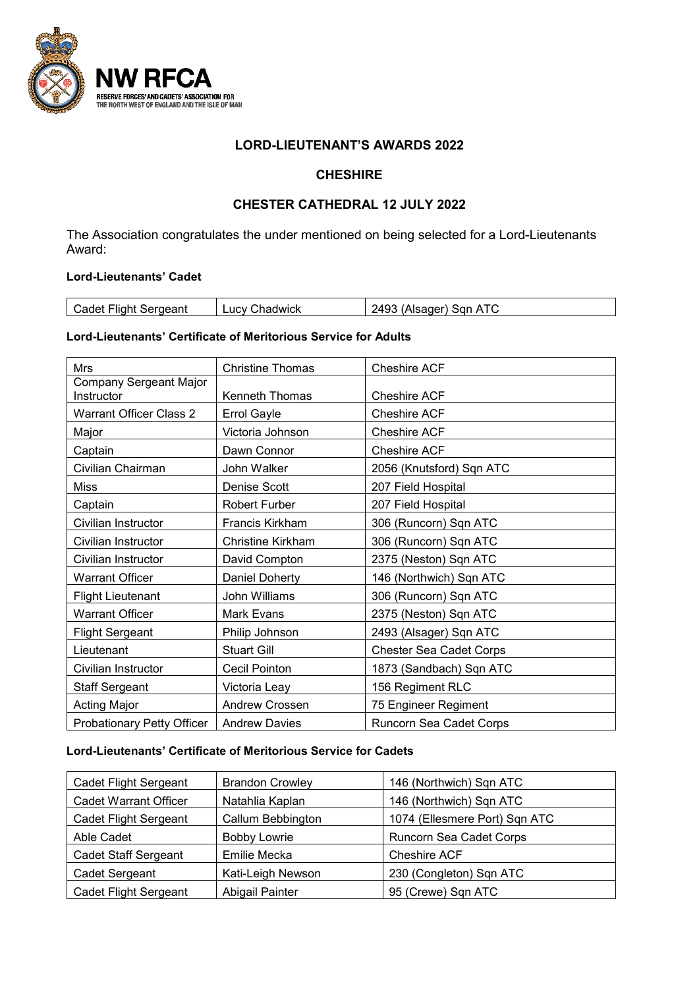

### **LORD-LIEUTENANT'S AWARDS 2022**

## **CHESHIRE**

# **CHESTER CATHEDRAL 12 JULY 2022**

The Association congratulates the under mentioned on being selected for a Lord-Lieutenants Award:

## **Lord-Lieutenants' Cadet**

| Sergeant<br>·liah.<br>adel | ;hadwick<br><b>TICV</b> | $\overline{ }$<br>.<br>∍nr<br>$\Delta$<br>520 E |
|----------------------------|-------------------------|-------------------------------------------------|
|                            |                         |                                                 |

### **Lord-Lieutenants' Certificate of Meritorious Service for Adults**

| <b>Mrs</b>                                  | <b>Christine Thomas</b>  | <b>Cheshire ACF</b>            |
|---------------------------------------------|--------------------------|--------------------------------|
| <b>Company Sergeant Major</b><br>Instructor | <b>Kenneth Thomas</b>    | <b>Cheshire ACF</b>            |
| <b>Warrant Officer Class 2</b>              | <b>Errol Gayle</b>       | <b>Cheshire ACF</b>            |
| Major                                       | Victoria Johnson         | <b>Cheshire ACF</b>            |
| Captain                                     | Dawn Connor              | <b>Cheshire ACF</b>            |
| Civilian Chairman                           | John Walker              | 2056 (Knutsford) Sqn ATC       |
| <b>Miss</b>                                 | Denise Scott             | 207 Field Hospital             |
| Captain                                     | <b>Robert Furber</b>     | 207 Field Hospital             |
| Civilian Instructor                         | <b>Francis Kirkham</b>   | 306 (Runcorn) Sqn ATC          |
| Civilian Instructor                         | <b>Christine Kirkham</b> | 306 (Runcorn) Sqn ATC          |
| Civilian Instructor                         | David Compton            | 2375 (Neston) Sqn ATC          |
| <b>Warrant Officer</b>                      | Daniel Doherty           | 146 (Northwich) Sqn ATC        |
| <b>Flight Lieutenant</b>                    | John Williams            | 306 (Runcorn) Sqn ATC          |
| <b>Warrant Officer</b>                      | Mark Evans               | 2375 (Neston) Sqn ATC          |
| <b>Flight Sergeant</b>                      | Philip Johnson           | 2493 (Alsager) Sqn ATC         |
| Lieutenant                                  | <b>Stuart Gill</b>       | <b>Chester Sea Cadet Corps</b> |
| Civilian Instructor                         | Cecil Pointon            | 1873 (Sandbach) Sqn ATC        |
| <b>Staff Sergeant</b>                       | Victoria Leay            | 156 Regiment RLC               |
| <b>Acting Major</b>                         | Andrew Crossen           | 75 Engineer Regiment           |
| Probationary Petty Officer                  | <b>Andrew Davies</b>     | Runcorn Sea Cadet Corps        |

## **Lord-Lieutenants' Certificate of Meritorious Service for Cadets**

| <b>Cadet Flight Sergeant</b> | <b>Brandon Crowley</b> | 146 (Northwich) Sqn ATC       |
|------------------------------|------------------------|-------------------------------|
| <b>Cadet Warrant Officer</b> | Natahlia Kaplan        | 146 (Northwich) Sqn ATC       |
| Cadet Flight Sergeant        | Callum Bebbington      | 1074 (Ellesmere Port) Sqn ATC |
| Able Cadet                   | <b>Bobby Lowrie</b>    | Runcorn Sea Cadet Corps       |
| <b>Cadet Staff Sergeant</b>  | Emilie Mecka           | <b>Cheshire ACF</b>           |
| Cadet Sergeant               | Kati-Leigh Newson      | 230 (Congleton) Sqn ATC       |
| <b>Cadet Flight Sergeant</b> | Abigail Painter        | 95 (Crewe) Sqn ATC            |